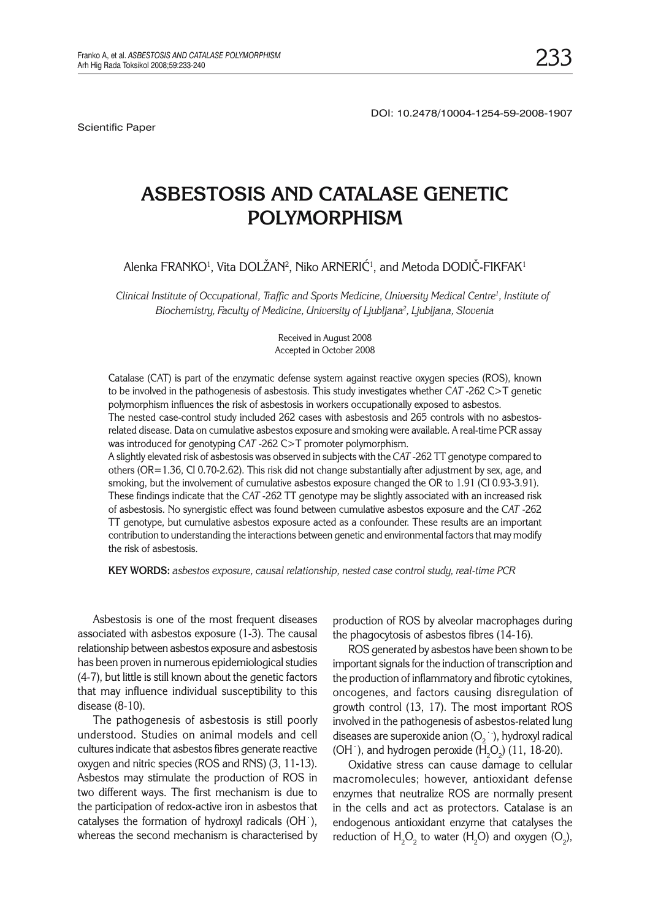Scientific Paper

DOI: 10.2478/10004-1254-59-2008-1907

# ASBESTOSIS AND CATALASE GENETIC **POLYMORPHISM POLYMORPHISM**

Alenka FRANKO<sup>1</sup>, Vita DOLZAN<sup>2</sup>, Niko ARNERIC<sup>1</sup>, and Metoda DODIC-FIKFAK<sup>1</sup>

*Clinical Institute of Occupational, Traffic and Sports Medicine, University Medical Centre1 , Institute of Biochemistry, Faculty of Medicine, University of Ljubljana2 , Ljubljana, Slovenia*

> Received in August 2008 Accepted in October 2008

Catalase (CAT) is part of the enzymatic defense system against reactive oxygen species (ROS), known to be involved in the pathogenesis of asbestosis. This study investigates whether *CAT* -262 C>T genetic polymorphism influences the risk of asbestosis in workers occupationally exposed to asbestos. The nested case-control study included 262 cases with asbestosis and 265 controls with no asbestosrelated disease. Data on cumulative asbestos exposure and smoking were available. A real-time PCR assay was introduced for genotyping *CAT* -262 C>T promoter polymorphism. A slightly elevated risk of asbestosis was observed in subjects with the *CAT* -262 TT genotype compared to others (OR=1.36, CI 0.70-2.62). This risk did not change substantially after adjustment by sex, age, and smoking, but the involvement of cumulative asbestos exposure changed the OR to 1.91 (CI 0.93-3.91). These findings indicate that the *CAT* -262 TT genotype may be slightly associated with an increased risk of asbestosis. No synergistic effect was found between cumulative asbestos exposure and the *CAT* -262 TT genotype, but cumulative asbestos exposure acted as a confounder. These results are an important contribution to understanding the interactions between genetic and environmental factors that may modify the risk of asbestosis.

**KEY WORDS:** *asbestos exposure, causal relationship, nested case control study, real-time PCR*

Asbestosis is one of the most frequent diseases associated with asbestos exposure (1-3). The causal relationship between asbestos exposure and asbestosis has been proven in numerous epidemiological studies (4-7), but little is still known about the genetic factors that may influence individual susceptibility to this disease (8-10).

The pathogenesis of asbestosis is still poorly understood. Studies on animal models and cell cultures indicate that asbestos fibres generate reactive oxygen and nitric species (ROS and RNS) (3, 11-13). Asbestos may stimulate the production of ROS in two different ways. The first mechanism is due to the participation of redox-active iron in asbestos that catalyses the formation of hydroxyl radicals (OH˙), whereas the second mechanism is characterised by

production of ROS by alveolar macrophages during the phagocytosis of asbestos fibres (14-16).

ROS generated by asbestos have been shown to be important signals for the induction of transcription and the production of inflammatory and fibrotic cytokines, oncogenes, and factors causing disregulation of growth control (13, 17). The most important ROS involved in the pathogenesis of asbestos-related lung diseases are superoxide anion ( $O_2^{\rightarrow}$ ), hydroxyl radical (OH  $\cdot$ ), and hydrogen peroxide (H<sub>2</sub>O<sub>2</sub>) (11, 18-20).

Oxidative stress can cause damage to cellular macromolecules; however, antioxidant defense enzymes that neutralize ROS are normally present in the cells and act as protectors. Catalase is an endogenous antioxidant enzyme that catalyses the reduction of  $H_2O_2$  to water ( $H_2O$ ) and oxygen ( $O_2$ ),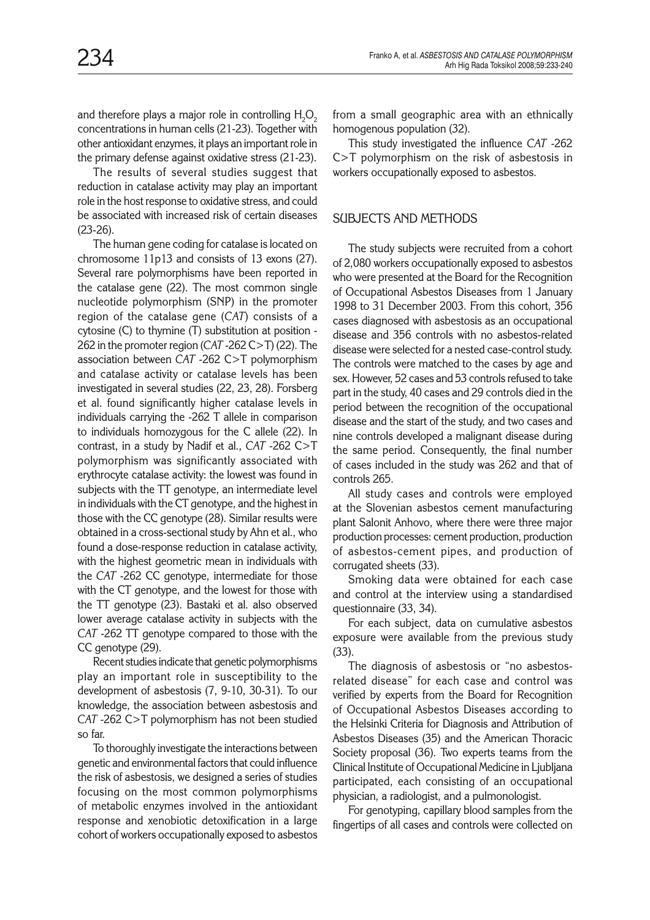and therefore plays a major role in controlling  ${\sf H}_{\sf 2}{\sf O}_{\sf 2}$ concentrations in human cells (21-23). Together with other antioxidant enzymes, it plays an important role in the primary defense against oxidative stress (21-23).

The results of several studies suggest that reduction in catalase activity may play an important role in the host response to oxidative stress, and could be associated with increased risk of certain diseases (23-26).

The human gene coding for catalase is located on chromosome 11p13 and consists of 13 exons (27). Several rare polymorphisms have been reported in the catalase gene (22). The most common single nucleotide polymorphism (SNP) in the promoter region of the catalase gene (*CAT*) consists of a cytosine (C) to thymine (T) substitution at position - 262 in the promoter region (*CAT* -262 C>T) (22). The association between *CAT* -262 C>T polymorphism and catalase activity or catalase levels has been investigated in several studies (22, 23, 28). Forsberg et al. found significantly higher catalase levels in individuals carrying the -262 T allele in comparison to individuals homozygous for the C allele (22). In contrast, in a study by Nadif et al., *CAT* -262 C>T polymorphism was significantly associated with erythrocyte catalase activity: the lowest was found in subjects with the TT genotype, an intermediate level in individuals with the CT genotype, and the highest in those with the CC genotype (28). Similar results were obtained in a cross-sectional study by Ahn et al., who found a dose-response reduction in catalase activity, with the highest geometric mean in individuals with the *CAT* -262 CC genotype, intermediate for those with the CT genotype, and the lowest for those with the TT genotype (23). Bastaki et al. also observed lower average catalase activity in subjects with the *CAT* -262 TT genotype compared to those with the CC genotype (29).

Recent studies indicate that genetic polymorphisms play an important role in susceptibility to the development of asbestosis (7, 9-10, 30-31). To our knowledge, the association between asbestosis and *CAT* -262 C>T polymorphism has not been studied so far.

To thoroughly investigate the interactions between genetic and environmental factors that could influence the risk of asbestosis, we designed a series of studies focusing on the most common polymorphisms of metabolic enzymes involved in the antioxidant response and xenobiotic detoxification in a large cohort of workers occupationally exposed to asbestos

from a small geographic area with an ethnically homogenous population (32).

This study investigated the influence *CAT* -262 C>T polymorphism on the risk of asbestosis in workers occupationally exposed to asbestos.

## SUBJECTS AND METHODS

The study subjects were recruited from a cohort of 2,080 workers occupationally exposed to asbestos who were presented at the Board for the Recognition of Occupational Asbestos Diseases from 1 January 1998 to 31 December 2003. From this cohort, 356 cases diagnosed with asbestosis as an occupational disease and 356 controls with no asbestos-related disease were selected for a nested case-control study. The controls were matched to the cases by age and sex. However, 52 cases and 53 controls refused to take part in the study, 40 cases and 29 controls died in the period between the recognition of the occupational disease and the start of the study, and two cases and nine controls developed a malignant disease during the same period. Consequently, the final number of cases included in the study was 262 and that of controls 265.

All study cases and controls were employed at the Slovenian asbestos cement manufacturing plant Salonit Anhovo, where there were three major production processes: cement production, production of asbestos-cement pipes, and production of corrugated sheets (33).

Smoking data were obtained for each case and control at the interview using a standardised questionnaire (33, 34).

For each subject, data on cumulative asbestos exposure were available from the previous study (33).

The diagnosis of asbestosis or "no asbestosrelated disease" for each case and control was verified by experts from the Board for Recognition of Occupational Asbestos Diseases according to the Helsinki Criteria for Diagnosis and Attribution of Asbestos Diseases (35) and the American Thoracic Society proposal (36). Two experts teams from the Clinical Institute of Occupational Medicine in Ljubljana participated, each consisting of an occupational physician, a radiologist, and a pulmonologist.

For genotyping, capillary blood samples from the fingertips of all cases and controls were collected on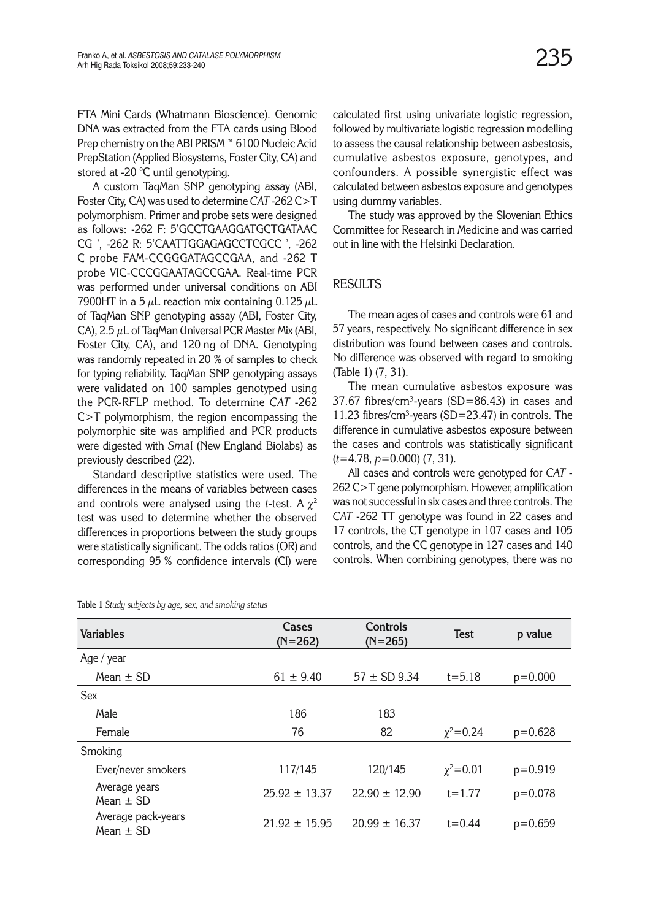FTA Mini Cards (Whatmann Bioscience). Genomic DNA was extracted from the FTA cards using Blood Prep chemistry on the ABI PRISM™ 6100 Nucleic Acid PrepStation (Applied Biosystems, Foster City, CA) and stored at -20 °C until genotyping.

A custom TaqMan SNP genotyping assay (ABI, Foster City, CA) was used to determine *CAT* -262 C>T polymorphism. Primer and probe sets were designed as follows: -262 F: 5'GCCTGAAGGATGCTGATAAC CG ', -262 R: 5'CAATTGGAGAGCCTCGCC ', -262 C probe FAM-CCGGGATAGCCGAA, and -262 T probe VIC-CCCGGAATAGCCGAA. Real-time PCR was performed under universal conditions on ABI 7900HT in a 5  $\mu$ L reaction mix containing 0.125  $\mu$ L of TaqMan SNP genotyping assay (ABI, Foster City, CA), 2.5  $\mu$ L of TaqMan Universal PCR Master Mix (ABI, Foster City, CA), and 120 ng of DNA. Genotyping was randomly repeated in 20 % of samples to check for typing reliability. TaqMan SNP genotyping assays were validated on 100 samples genotyped using the PCR-RFLP method. To determine *CAT* -262 C>T polymorphism, the region encompassing the polymorphic site was amplified and PCR products were digested with *Sma*I (New England Biolabs) as previously described (22).

Standard descriptive statistics were used. The differences in the means of variables between cases and controls were analysed using the *t*-test. A  $\chi^2$ test was used to determine whether the observed differences in proportions between the study groups were statistically significant. The odds ratios (OR) and corresponding 95 % confidence intervals (CI) were

calculated first using univariate logistic regression, followed by multivariate logistic regression modelling to assess the causal relationship between asbestosis, cumulative asbestos exposure, genotypes, and confounders. A possible synergistic effect was calculated between asbestos exposure and genotypes using dummy variables.

The study was approved by the Slovenian Ethics Committee for Research in Medicine and was carried out in line with the Helsinki Declaration.

# **RESULTS**

The mean ages of cases and controls were 61 and 57 years, respectively. No significant difference in sex distribution was found between cases and controls. No difference was observed with regard to smoking (Table 1) (7, 31).

The mean cumulative asbestos exposure was  $37.67$  fibres/cm<sup>3</sup>-years (SD=86.43) in cases and 11.23 fibres/cm<sup>3</sup>-years (SD=23.47) in controls. The difference in cumulative asbestos exposure between the cases and controls was statistically significant (*t*=4.78, *p=*0.000) (7, 31).

All cases and controls were genotyped for *CAT* - 262 C>T gene polymorphism. However, amplification was not successful in six cases and three controls. The *CAT* -262 TT genotype was found in 22 cases and 17 controls, the CT genotype in 107 cases and 105 controls, and the CC genotype in 127 cases and 140 controls. When combining genotypes, there was no

| <b>Variables</b>                    | Cases<br>$(N=262)$ | Controls<br>$(N=265)$ | <b>Test</b>    | p value     |
|-------------------------------------|--------------------|-----------------------|----------------|-------------|
| Age / $year$                        |                    |                       |                |             |
| Mean $\pm$ SD                       | $61 \pm 9.40$      | $57 \pm SD$ 9.34      | $t = 5.18$     | $p=0.000$   |
| <b>Sex</b>                          |                    |                       |                |             |
| Male                                | 186                | 183                   |                |             |
| Female                              | 76                 | 82                    | $\chi^2$ =0.24 | $p=0.628$   |
| Smoking                             |                    |                       |                |             |
| Ever/never smokers                  | 117/145            | 120/145               | $\chi^2$ =0.01 | $p = 0.919$ |
| Average years<br>Mean $\pm$ SD      | $25.92 \pm 13.37$  | $22.90 \pm 12.90$     | $t = 1.77$     | $p = 0.078$ |
| Average pack-years<br>Mean $\pm$ SD | $21.92 \pm 15.95$  | $20.99 \pm 16.37$     | $t = 0.44$     | $p=0.659$   |

**Table 1** *Study subjects by age, sex, and smoking status*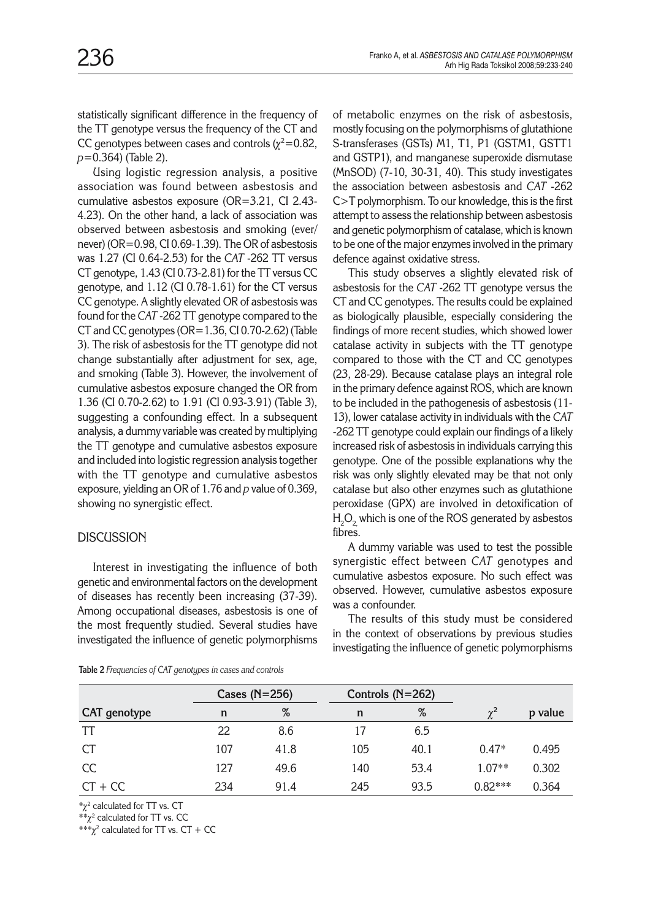statistically significant difference in the frequency of the TT genotype versus the frequency of the CT and CC genotypes between cases and controls ( $\chi^2$ =0.82, *p*=0.364) (Table 2).

Using logistic regression analysis, a positive association was found between asbestosis and cumulative asbestos exposure (OR=3.21, CI 2.43- 4.23). On the other hand, a lack of association was observed between asbestosis and smoking (ever/ never) (OR=0.98, CI 0.69-1.39). The OR of asbestosis was 1.27 (CI 0.64-2.53) for the *CAT* -262 TT versus CT genotype, 1.43 (CI 0.73-2.81) for the TT versus CC genotype, and 1.12 (CI 0.78-1.61) for the CT versus CC genotype. A slightly elevated OR of asbestosis was found for the *CAT* -262 TT genotype compared to the CT and CC genotypes ( $OR=1.36$ , CI 0.70-2.62) (Table 3). The risk of asbestosis for the TT genotype did not change substantially after adjustment for sex, age, and smoking (Table 3). However, the involvement of cumulative asbestos exposure changed the OR from 1.36 (CI 0.70-2.62) to 1.91 (CI 0.93-3.91) (Table 3), suggesting a confounding effect. In a subsequent analysis, a dummy variable was created by multiplying the TT genotype and cumulative asbestos exposure and included into logistic regression analysis together with the TT genotype and cumulative asbestos exposure, yielding an OR of 1.76 and *p* value of 0.369, showing no synergistic effect.

#### **DISCUSSION**

Interest in investigating the influence of both genetic and environmental factors on the development of diseases has recently been increasing (37-39). Among occupational diseases, asbestosis is one of the most frequently studied. Several studies have investigated the influence of genetic polymorphisms

of metabolic enzymes on the risk of asbestosis, mostly focusing on the polymorphisms of glutathione S-transferases (GSTs) M1, T1, P1 (GSTM1, GSTT1 and GSTP1), and manganese superoxide dismutase (MnSOD) (7-10, 30-31, 40). This study investigates the association between asbestosis and *CAT* -262 C>T polymorphism. To our knowledge, this is the first attempt to assess the relationship between asbestosis and genetic polymorphism of catalase, which is known to be one of the major enzymes involved in the primary defence against oxidative stress.

This study observes a slightly elevated risk of asbestosis for the *CAT* -262 TT genotype versus the CT and CC genotypes. The results could be explained as biologically plausible, especially considering the findings of more recent studies, which showed lower catalase activity in subjects with the TT genotype compared to those with the CT and CC genotypes (23, 28-29). Because catalase plays an integral role in the primary defence against ROS, which are known to be included in the pathogenesis of asbestosis (11- 13), lower catalase activity in individuals with the *CAT* -262 TT genotype could explain our findings of a likely increased risk of asbestosis in individuals carrying this genotype. One of the possible explanations why the risk was only slightly elevated may be that not only catalase but also other enzymes such as glutathione peroxidase (GPX) are involved in detoxification of  ${\rm H_2O}_{_{2,}}$  which is one of the ROS generated by asbestos fibres.

A dummy variable was used to test the possible synergistic effect between *CAT* genotypes and cumulative asbestos exposure. No such effect was observed. However, cumulative asbestos exposure was a confounder.

The results of this study must be considered in the context of observations by previous studies investigating the influence of genetic polymorphisms

|                     | Cases $(N=256)$ |      | Controls $(N=262)$ |      |           |         |
|---------------------|-----------------|------|--------------------|------|-----------|---------|
| <b>CAT</b> genotype | n               | %    | n                  | %    | $\chi^2$  | p value |
| TT                  | 22              | 8.6  | 17                 | 6.5  |           |         |
| <b>CT</b>           | 107             | 41.8 | 105                | 40.1 | $0.47*$   | 0.495   |
| <b>CC</b>           | 127             | 49.6 | 140                | 53.4 | 1.07**    | 0.302   |
| $CT + CC$           | 234             | 91.4 | 245                | 93.5 | $0.82***$ | 0.364   |

**Table 2** *Frequencies of CAT genotypes in cases and controls*

 $*_\chi^2$  calculated for TT vs. CT

 $**\chi^2$  calculated for TT vs. CC

 $***\chi^2$  calculated for TT vs. CT + CC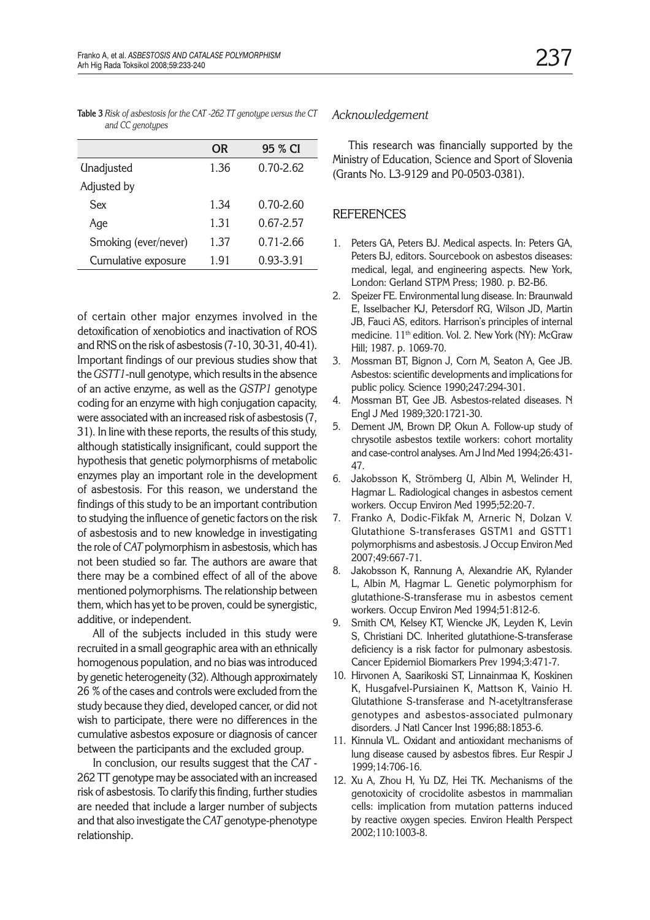|                   | <b>OR</b> | 95 % CI       |
|-------------------|-----------|---------------|
| <b>Unadjusted</b> | 1.36      | $0.70 - 2.62$ |
| Adjusted by       |           |               |

Sex 1.34 0.70-2.60 Age 1.31 0.67-2.57 Smoking (ever/never) 1.37 0.71-2.66 Cumulative exposure 1.91 0.93-3.91

**Table 3** *Risk of asbestosis for the CAT -262 TT genotype versus the CT and CC genotypes*

of certain other major enzymes involved in the detoxification of xenobiotics and inactivation of ROS and RNS on the risk of asbestosis (7-10, 30-31, 40-41). Important findings of our previous studies show that the *GSTT1*-null genotype, which results in the absence of an active enzyme, as well as the *GSTP1* genotype coding for an enzyme with high conjugation capacity, were associated with an increased risk of asbestosis (7, 31). In line with these reports, the results of this study, although statistically insignificant, could support the hypothesis that genetic polymorphisms of metabolic enzymes play an important role in the development of asbestosis. For this reason, we understand the findings of this study to be an important contribution to studying the influence of genetic factors on the risk of asbestosis and to new knowledge in investigating the role of *CAT* polymorphism in asbestosis, which has not been studied so far. The authors are aware that there may be a combined effect of all of the above mentioned polymorphisms. The relationship between them, which has yet to be proven, could be synergistic, additive, or independent.

All of the subjects included in this study were recruited in a small geographic area with an ethnically homogenous population, and no bias was introduced by genetic heterogeneity (32). Although approximately 26 % of the cases and controls were excluded from the study because they died, developed cancer, or did not wish to participate, there were no differences in the cumulative asbestos exposure or diagnosis of cancer between the participants and the excluded group.

In conclusion, our results suggest that the *CAT* - 262 TT genotype may be associated with an increased risk of asbestosis. To clarify this finding, further studies are needed that include a larger number of subjects and that also investigate the *CAT* genotype-phenotype relationship.

#### *Acknowledgement*

This research was financially supported by the Ministry of Education, Science and Sport of Slovenia (Grants No. L3-9129 and P0-0503-0381).

### **REFERENCES**

- 1. Peters GA, Peters BJ. Medical aspects. In: Peters GA, Peters BJ, editors. Sourcebook on asbestos diseases: medical, legal, and engineering aspects. New York, London: Gerland STPM Press; 1980. p. B2-B6.
- 2. Speizer FE. Environmental lung disease. In: Braunwald E, Isselbacher KJ, Petersdorf RG, Wilson JD, Martin JB, Fauci AS, editors. Harrison's principles of internal medicine. 11<sup>th</sup> edition. Vol. 2. New York (NY): McGraw Hill; 1987. p. 1069-70.
- 3. Mossman BT, Bignon J, Corn M, Seaton A, Gee JB. Asbestos: scientific developments and implications for public policy. Science 1990;247:294-301.
- 4. Mossman BT, Gee JB. Asbestos-related diseases. N Engl J Med 1989;320:1721-30.
- 5. Dement JM, Brown DP, Okun A. Follow-up study of chrysotile asbestos textile workers: cohort mortality and case-control analyses. Am J Ind Med 1994;26:431- 47.
- 6. Jakobsson K, Strömberg U, Albin M, Welinder H, Hagmar L. Radiological changes in asbestos cement workers. Occup Environ Med 1995;52:20-7.
- 7. Franko A, Dodic-Fikfak M, Arneric N, Dolzan V. Glutathione S-transferases GSTM1 and GSTT1 polymorphisms and asbestosis. J Occup Environ Med 2007;49:667-71.
- 8. Jakobsson K, Rannung A, Alexandrie AK, Rylander L, Albin M, Hagmar L. Genetic polymorphism for glutathione-S-transferase mu in asbestos cement workers. Occup Environ Med 1994;51:812-6.
- 9. Smith CM, Kelsey KT, Wiencke JK, Leyden K, Levin S, Christiani DC. Inherited glutathione-S-transferase deficiency is a risk factor for pulmonary asbestosis. Cancer Epidemiol Biomarkers Prev 1994;3:471-7.
- 10. Hirvonen A, Saarikoski ST, Linnainmaa K, Koskinen K, Husgafvel-Pursiainen K, Mattson K, Vainio H. Glutathione S-transferase and N-acetyltransferase genotypes and asbestos-associated pulmonary disorders. J Natl Cancer Inst 1996;88:1853-6.
- 11. Kinnula VL. Oxidant and antioxidant mechanisms of lung disease caused by asbestos fibres. Eur Respir J 1999;14:706-16.
- 12. Xu A, Zhou H, Yu DZ, Hei TK. Mechanisms of the genotoxicity of crocidolite asbestos in mammalian cells: implication from mutation patterns induced by reactive oxygen species. Environ Health Perspect 2002;110:1003-8.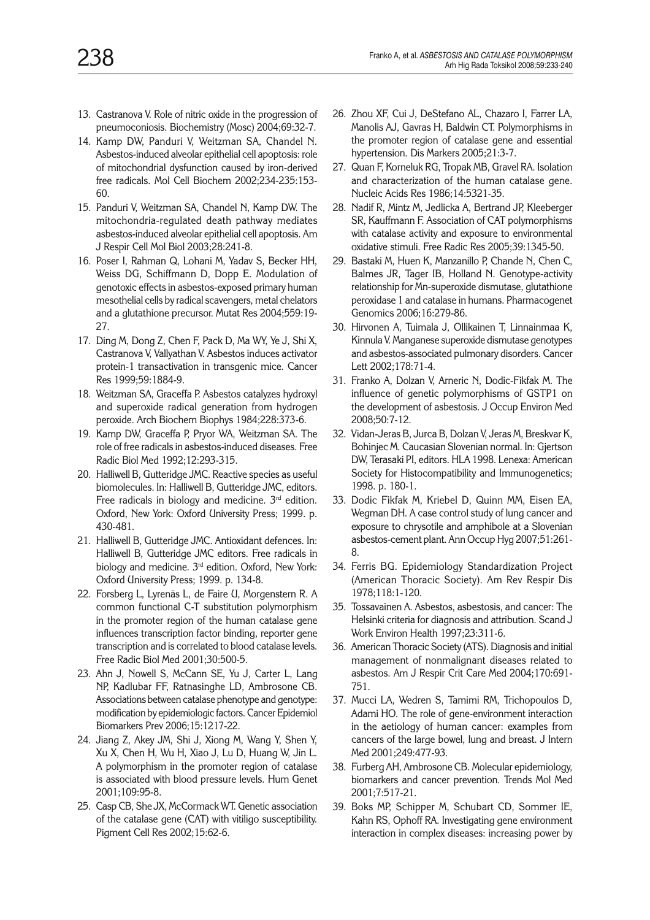- 
- 13. Castranova V. Role of nitric oxide in the progression of pneumoconiosis. Biochemistry (Mosc) 2004;69:32-7.
- 14. Kamp DW, Panduri V, Weitzman SA, Chandel N. Asbestos-induced alveolar epithelial cell apoptosis: role of mitochondrial dysfunction caused by iron-derived free radicals. Mol Cell Biochem 2002;234-235:153- 60.
- 15. Panduri V, Weitzman SA, Chandel N, Kamp DW. The mitochondria-regulated death pathway mediates asbestos-induced alveolar epithelial cell apoptosis. Am J Respir Cell Mol Biol 2003;28:241-8.
- 16. Poser I, Rahman Q, Lohani M, Yadav S, Becker HH, Weiss DG, Schiffmann D, Dopp E. Modulation of genotoxic effects in asbestos-exposed primary human mesothelial cells by radical scavengers, metal chelators and a glutathione precursor. Mutat Res 2004;559:19- 27.
- 17. Ding M, Dong Z, Chen F, Pack D, Ma WY, Ye J, Shi X, Castranova V, Vallyathan V. Asbestos induces activator protein-1 transactivation in transgenic mice. Cancer Res 1999;59:1884-9.
- 18. Weitzman SA, Graceffa P. Asbestos catalyzes hydroxyl and superoxide radical generation from hydrogen peroxide. Arch Biochem Biophys 1984;228:373-6.
- 19. Kamp DW, Graceffa P, Pryor WA, Weitzman SA. The role of free radicals in asbestos-induced diseases. Free Radic Biol Med 1992;12:293-315.
- 20. Halliwell B, Gutteridge JMC. Reactive species as useful biomolecules. In: Halliwell B, Gutteridge JMC, editors. Free radicals in biology and medicine.  $3<sup>rd</sup>$  edition. Oxford, New York: Oxford University Press; 1999. p. 430-481.
- 21. Halliwell B, Gutteridge JMC. Antioxidant defences. In: Halliwell B, Gutteridge JMC editors. Free radicals in biology and medicine. 3<sup>rd</sup> edition. Oxford, New York: Oxford University Press; 1999. p. 134-8.
- 22. Forsberg L, Lyrenäs L, de Faire U, Morgenstern R. A common functional C-T substitution polymorphism in the promoter region of the human catalase gene influences transcription factor binding, reporter gene transcription and is correlated to blood catalase levels. Free Radic Biol Med 2001;30:500-5.
- 23. Ahn J, Nowell S, McCann SE, Yu J, Carter L, Lang NP, Kadlubar FF, Ratnasinghe LD, Ambrosone CB. Associations between catalase phenotype and genotype: modification by epidemiologic factors. Cancer Epidemiol Biomarkers Prev 2006;15:1217-22.
- 24. Jiang Z, Akey JM, Shi J, Xiong M, Wang Y, Shen Y, Xu X, Chen H, Wu H, Xiao J, Lu D, Huang W, Jin L. A polymorphism in the promoter region of catalase is associated with blood pressure levels. Hum Genet 2001;109:95-8.
- 25. Casp CB, She JX, McCormack WT. Genetic association of the catalase gene (CAT) with vitiligo susceptibility. Pigment Cell Res 2002;15:62-6.
- 26. Zhou XF, Cui J, DeStefano AL, Chazaro I, Farrer LA, Manolis AJ, Gavras H, Baldwin CT. Polymorphisms in the promoter region of catalase gene and essential hypertension. Dis Markers 2005;21:3-7.
- 27. Quan F, Korneluk RG, Tropak MB, Gravel RA. Isolation and characterization of the human catalase gene. Nucleic Acids Res 1986;14:5321-35.
- 28. Nadif R, Mintz M, Jedlicka A, Bertrand JP, Kleeberger SR, Kauffmann F. Association of CAT polymorphisms with catalase activity and exposure to environmental oxidative stimuli. Free Radic Res 2005;39:1345-50.
- 29. Bastaki M, Huen K, Manzanillo P, Chande N, Chen C, Balmes JR, Tager IB, Holland N. Genotype-activity relationship for Mn-superoxide dismutase, glutathione peroxidase 1 and catalase in humans. Pharmacogenet Genomics 2006;16:279-86.
- 30. Hirvonen A, Tuimala J, Ollikainen T, Linnainmaa K, Kinnula V. Manganese superoxide dismutase genotypes and asbestos-associated pulmonary disorders. Cancer Lett 2002;178:71-4.
- 31. Franko A, Dolzan V, Arneric N, Dodic-Fikfak M. The influence of genetic polymorphisms of GSTP1 on the development of asbestosis. J Occup Environ Med 2008;50:7-12.
- 32. Vidan-Jeras B, Jurca B, Dolzan V, Jeras M, Breskvar K, Bohinjec M. Caucasian Slovenian normal. In: Gjertson DW, Terasaki PI, editors. HLA 1998. Lenexa: American Society for Histocompatibility and Immunogenetics; 1998. p. 180-1.
- 33. Dodic Fikfak M, Kriebel D, Quinn MM, Eisen EA, Wegman DH. A case control study of lung cancer and exposure to chrysotile and amphibole at a Slovenian asbestos-cement plant. Ann Occup Hyg 2007;51:261- 8.
- 34. Ferris BG. Epidemiology Standardization Project (American Thoracic Society). Am Rev Respir Dis 1978;118:1-120.
- 35. Tossavainen A. Asbestos, asbestosis, and cancer: The Helsinki criteria for diagnosis and attribution. Scand J Work Environ Health 1997;23:311-6.
- 36. American Thoracic Society (ATS). Diagnosis and initial management of nonmalignant diseases related to asbestos. Am J Respir Crit Care Med 2004;170:691- 751.
- 37. Mucci LA, Wedren S, Tamimi RM, Trichopoulos D, Adami HO. The role of gene-environment interaction in the aetiology of human cancer: examples from cancers of the large bowel, lung and breast. J Intern Med 2001;249:477-93.
- 38. Furberg AH, Ambrosone CB. Molecular epidemiology, biomarkers and cancer prevention. Trends Mol Med 2001;7:517-21.
- 39. Boks MP, Schipper M, Schubart CD, Sommer IE, Kahn RS, Ophoff RA. Investigating gene environment interaction in complex diseases: increasing power by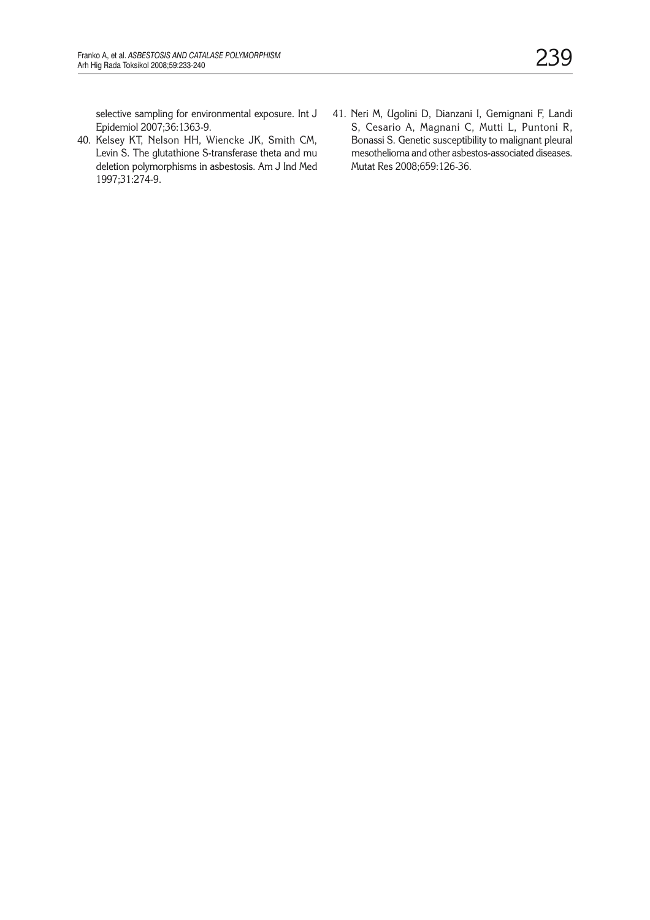selective sampling for environmental exposure. Int J Epidemiol 2007;36:1363-9.

- 40. Kelsey KT, Nelson HH, Wiencke JK, Smith CM, Levin S. The glutathione S-transferase theta and mu deletion polymorphisms in asbestosis. Am J Ind Med 1997;31:274-9.
- 41. Neri M, Ugolini D, Dianzani I, Gemignani F, Landi S, Cesario A, Magnani C, Mutti L, Puntoni R, Bonassi S. Genetic susceptibility to malignant pleural mesothelioma and other asbestos-associated diseases. Mutat Res 2008;659:126-36.